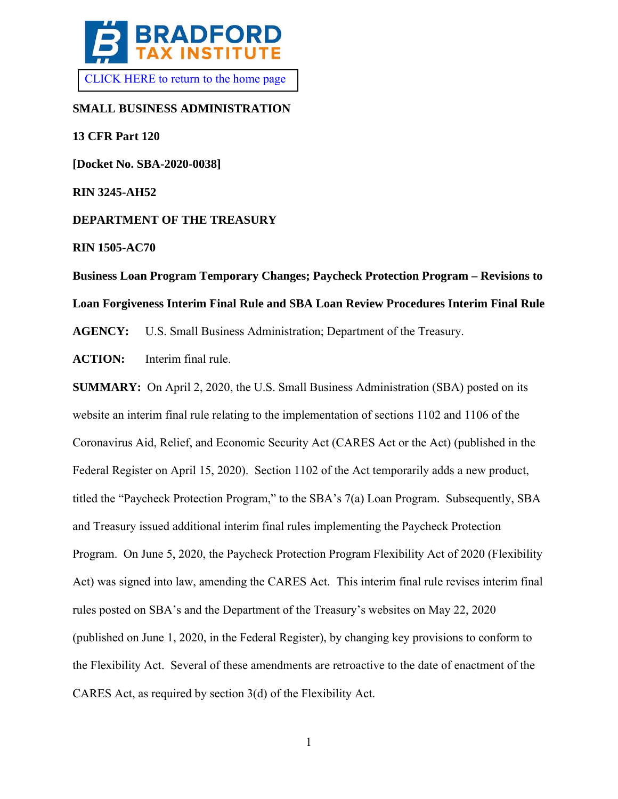

# **SMALL BUSINESS ADMINISTRATION**

**13 CFR Part 120** 

**[Docket No. SBA-2020-0038]** 

**RIN 3245-AH52**

**DEPARTMENT OF THE TREASURY**

**RIN 1505-AC70**

# **Business Loan Program Temporary Changes; Paycheck Protection Program – Revisions to Loan Forgiveness Interim Final Rule and SBA Loan Review Procedures Interim Final Rule**

**AGENCY:** U.S. Small Business Administration; Department of the Treasury.

**ACTION:** Interim final rule.

**SUMMARY:** On April 2, 2020, the U.S. Small Business Administration (SBA) posted on its website an interim final rule relating to the implementation of sections 1102 and 1106 of the Coronavirus Aid, Relief, and Economic Security Act (CARES Act or the Act) (published in the Federal Register on April 15, 2020). Section 1102 of the Act temporarily adds a new product, titled the "Paycheck Protection Program," to the SBA's 7(a) Loan Program. Subsequently, SBA and Treasury issued additional interim final rules implementing the Paycheck Protection Program. On June 5, 2020, the Paycheck Protection Program Flexibility Act of 2020 (Flexibility Act) was signed into law, amending the CARES Act. This interim final rule revises interim final rules posted on SBA's and the Department of the Treasury's websites on May 22, 2020 (published on June 1, 2020, in the Federal Register), by changing key provisions to conform to the Flexibility Act. Several of these amendments are retroactive to the date of enactment of the CARES Act, as required by section 3(d) of the Flexibility Act.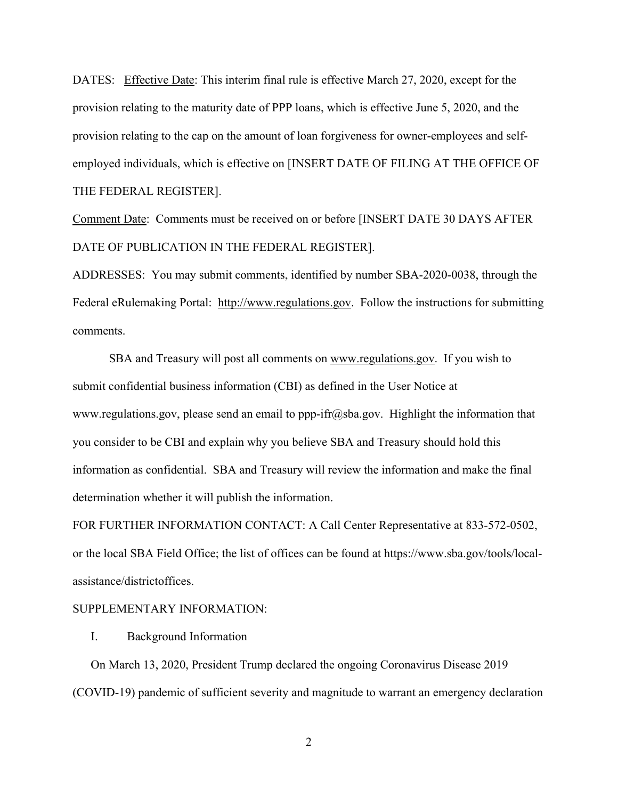DATES: Effective Date: This interim final rule is effective March 27, 2020, except for the provision relating to the maturity date of PPP loans, which is effective June 5, 2020, and the provision relating to the cap on the amount of loan forgiveness for owner-employees and selfemployed individuals, which is effective on [INSERT DATE OF FILING AT THE OFFICE OF THE FEDERAL REGISTER].

Comment Date: Comments must be received on or before [INSERT DATE 30 DAYS AFTER DATE OF PUBLICATION IN THE FEDERAL REGISTER].

ADDRESSES: You may submit comments, identified by number SBA-2020-0038, through the Federal eRulemaking Portal: http://www.regulations.gov. Follow the instructions for submitting comments.

SBA and Treasury will post all comments on www.regulations.gov. If you wish to submit confidential business information (CBI) as defined in the User Notice at www.regulations.gov, please send an email to ppp-ifr@sba.gov. Highlight the information that you consider to be CBI and explain why you believe SBA and Treasury should hold this information as confidential. SBA and Treasury will review the information and make the final determination whether it will publish the information.

FOR FURTHER INFORMATION CONTACT: A Call Center Representative at 833-572-0502, or the local SBA Field Office; the list of offices can be found at https://www.sba.gov/tools/localassistance/districtoffices.

# SUPPLEMENTARY INFORMATION:

I. Background Information

On March 13, 2020, President Trump declared the ongoing Coronavirus Disease 2019 (COVID-19) pandemic of sufficient severity and magnitude to warrant an emergency declaration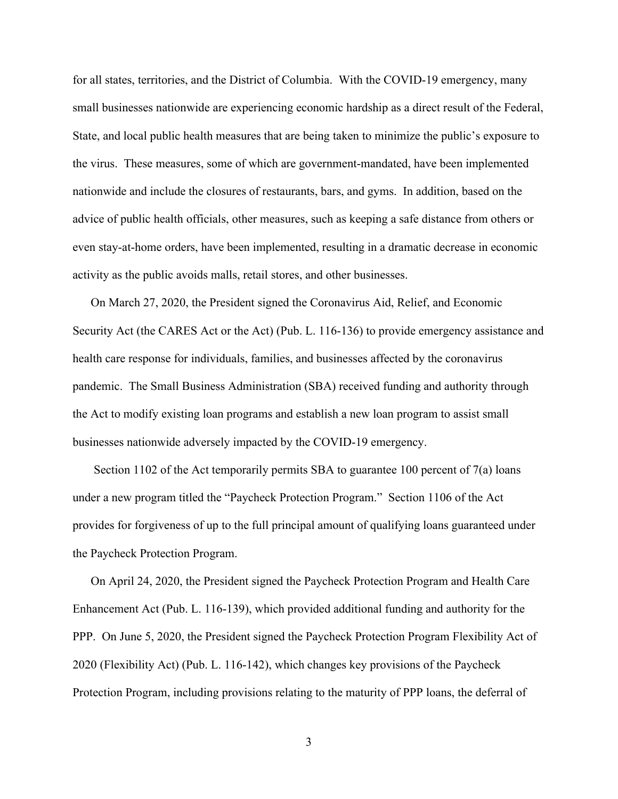for all states, territories, and the District of Columbia. With the COVID-19 emergency, many small businesses nationwide are experiencing economic hardship as a direct result of the Federal, State, and local public health measures that are being taken to minimize the public's exposure to the virus. These measures, some of which are government-mandated, have been implemented nationwide and include the closures of restaurants, bars, and gyms. In addition, based on the advice of public health officials, other measures, such as keeping a safe distance from others or even stay-at-home orders, have been implemented, resulting in a dramatic decrease in economic activity as the public avoids malls, retail stores, and other businesses.

On March 27, 2020, the President signed the Coronavirus Aid, Relief, and Economic Security Act (the CARES Act or the Act) (Pub. L. 116-136) to provide emergency assistance and health care response for individuals, families, and businesses affected by the coronavirus pandemic. The Small Business Administration (SBA) received funding and authority through the Act to modify existing loan programs and establish a new loan program to assist small businesses nationwide adversely impacted by the COVID-19 emergency.

Section 1102 of the Act temporarily permits SBA to guarantee 100 percent of 7(a) loans under a new program titled the "Paycheck Protection Program." Section 1106 of the Act provides for forgiveness of up to the full principal amount of qualifying loans guaranteed under the Paycheck Protection Program.

On April 24, 2020, the President signed the Paycheck Protection Program and Health Care Enhancement Act (Pub. L. 116-139), which provided additional funding and authority for the PPP. On June 5, 2020, the President signed the Paycheck Protection Program Flexibility Act of 2020 (Flexibility Act) (Pub. L. 116-142), which changes key provisions of the Paycheck Protection Program, including provisions relating to the maturity of PPP loans, the deferral of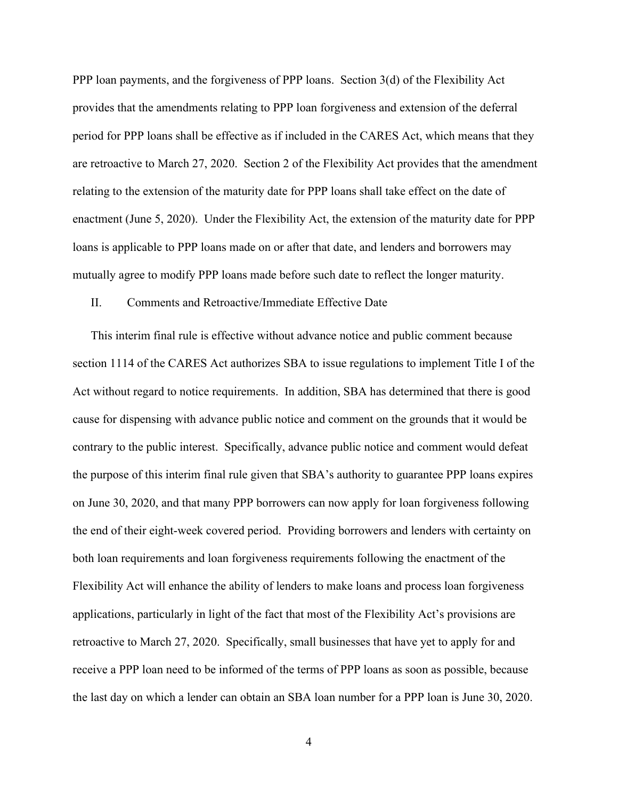PPP loan payments, and the forgiveness of PPP loans. Section 3(d) of the Flexibility Act provides that the amendments relating to PPP loan forgiveness and extension of the deferral period for PPP loans shall be effective as if included in the CARES Act, which means that they are retroactive to March 27, 2020. Section 2 of the Flexibility Act provides that the amendment relating to the extension of the maturity date for PPP loans shall take effect on the date of enactment (June 5, 2020). Under the Flexibility Act, the extension of the maturity date for PPP loans is applicable to PPP loans made on or after that date, and lenders and borrowers may mutually agree to modify PPP loans made before such date to reflect the longer maturity.

## II. Comments and Retroactive/Immediate Effective Date

This interim final rule is effective without advance notice and public comment because section 1114 of the CARES Act authorizes SBA to issue regulations to implement Title I of the Act without regard to notice requirements. In addition, SBA has determined that there is good cause for dispensing with advance public notice and comment on the grounds that it would be contrary to the public interest. Specifically, advance public notice and comment would defeat the purpose of this interim final rule given that SBA's authority to guarantee PPP loans expires on June 30, 2020, and that many PPP borrowers can now apply for loan forgiveness following the end of their eight-week covered period. Providing borrowers and lenders with certainty on both loan requirements and loan forgiveness requirements following the enactment of the Flexibility Act will enhance the ability of lenders to make loans and process loan forgiveness applications, particularly in light of the fact that most of the Flexibility Act's provisions are retroactive to March 27, 2020. Specifically, small businesses that have yet to apply for and receive a PPP loan need to be informed of the terms of PPP loans as soon as possible, because the last day on which a lender can obtain an SBA loan number for a PPP loan is June 30, 2020.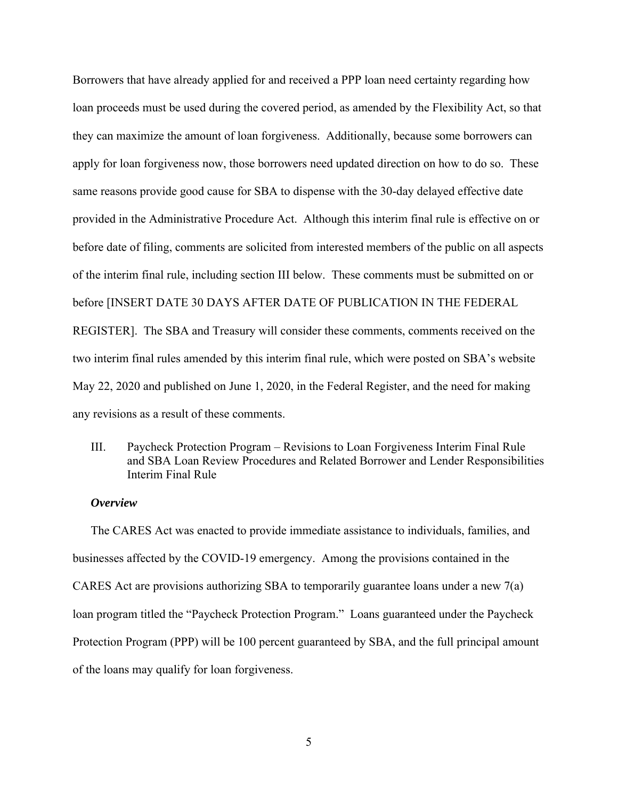Borrowers that have already applied for and received a PPP loan need certainty regarding how loan proceeds must be used during the covered period, as amended by the Flexibility Act, so that they can maximize the amount of loan forgiveness. Additionally, because some borrowers can apply for loan forgiveness now, those borrowers need updated direction on how to do so. These same reasons provide good cause for SBA to dispense with the 30-day delayed effective date provided in the Administrative Procedure Act. Although this interim final rule is effective on or before date of filing, comments are solicited from interested members of the public on all aspects of the interim final rule, including section III below. These comments must be submitted on or before [INSERT DATE 30 DAYS AFTER DATE OF PUBLICATION IN THE FEDERAL REGISTER]. The SBA and Treasury will consider these comments, comments received on the two interim final rules amended by this interim final rule, which were posted on SBA's website May 22, 2020 and published on June 1, 2020, in the Federal Register, and the need for making any revisions as a result of these comments.

III. Paycheck Protection Program – Revisions to Loan Forgiveness Interim Final Rule and SBA Loan Review Procedures and Related Borrower and Lender Responsibilities Interim Final Rule

## *Overview*

The CARES Act was enacted to provide immediate assistance to individuals, families, and businesses affected by the COVID-19 emergency. Among the provisions contained in the CARES Act are provisions authorizing SBA to temporarily guarantee loans under a new 7(a) loan program titled the "Paycheck Protection Program." Loans guaranteed under the Paycheck Protection Program (PPP) will be 100 percent guaranteed by SBA, and the full principal amount of the loans may qualify for loan forgiveness.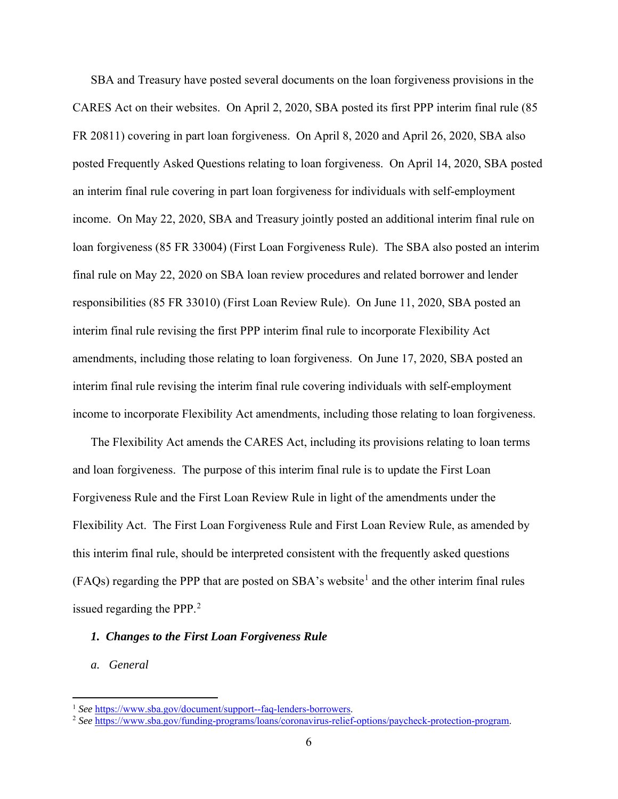SBA and Treasury have posted several documents on the loan forgiveness provisions in the CARES Act on their websites. On April 2, 2020, SBA posted its first PPP interim final rule (85 FR 20811) covering in part loan forgiveness. On April 8, 2020 and April 26, 2020, SBA also posted Frequently Asked Questions relating to loan forgiveness. On April 14, 2020, SBA posted an interim final rule covering in part loan forgiveness for individuals with self-employment income. On May 22, 2020, SBA and Treasury jointly posted an additional interim final rule on loan forgiveness (85 FR 33004) (First Loan Forgiveness Rule). The SBA also posted an interim final rule on May 22, 2020 on SBA loan review procedures and related borrower and lender responsibilities (85 FR 33010) (First Loan Review Rule). On June 11, 2020, SBA posted an interim final rule revising the first PPP interim final rule to incorporate Flexibility Act amendments, including those relating to loan forgiveness. On June 17, 2020, SBA posted an interim final rule revising the interim final rule covering individuals with self-employment income to incorporate Flexibility Act amendments, including those relating to loan forgiveness.

The Flexibility Act amends the CARES Act, including its provisions relating to loan terms and loan forgiveness. The purpose of this interim final rule is to update the First Loan Forgiveness Rule and the First Loan Review Rule in light of the amendments under the Flexibility Act. The First Loan Forgiveness Rule and First Loan Review Rule, as amended by this interim final rule, should be interpreted consistent with the frequently asked questions  $(FAQs)$  regarding the PPP that are posted on SBA's website<sup>[1](#page-5-0)</sup> and the other interim final rules issued regarding the PPP.<sup>[2](#page-5-1)</sup>

# *1. Changes to the First Loan Forgiveness Rule*

# *a. General*

<span id="page-5-1"></span>

<span id="page-5-0"></span><sup>1</sup> *See* [https://www.sba.gov/document/support--faq-lenders-borrowers.](https://www.sba.gov/document/support--faq-lenders-borrowers) 2 *See* [https://www.sba.gov/funding-programs/loans/coronavirus-relief-options/paycheck-protection-program.](https://www.sba.gov/funding-programs/loans/coronavirus-relief-options/paycheck-protection-program)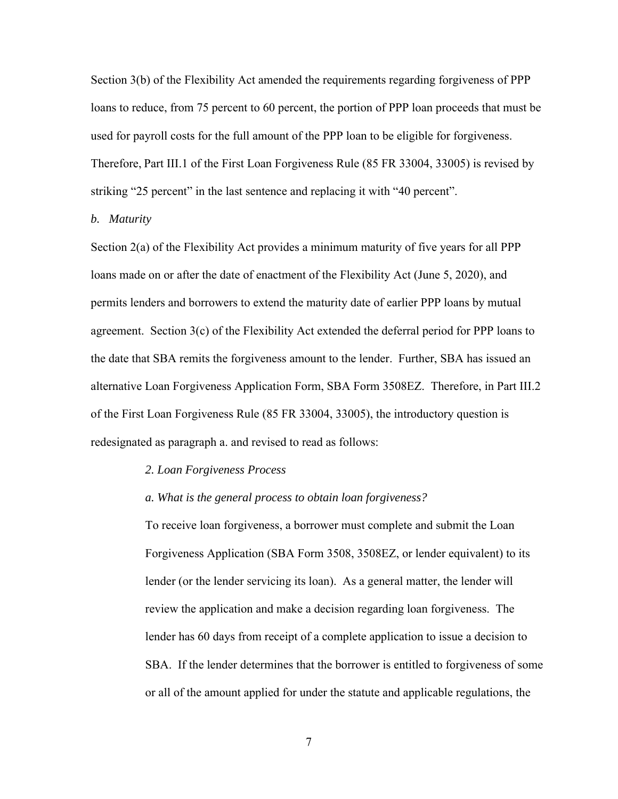Section 3(b) of the Flexibility Act amended the requirements regarding forgiveness of PPP loans to reduce, from 75 percent to 60 percent, the portion of PPP loan proceeds that must be used for payroll costs for the full amount of the PPP loan to be eligible for forgiveness. Therefore, Part III.1 of the First Loan Forgiveness Rule (85 FR 33004, 33005) is revised by striking "25 percent" in the last sentence and replacing it with "40 percent".

# *b. Maturity*

Section 2(a) of the Flexibility Act provides a minimum maturity of five years for all PPP loans made on or after the date of enactment of the Flexibility Act (June 5, 2020), and permits lenders and borrowers to extend the maturity date of earlier PPP loans by mutual agreement. Section 3(c) of the Flexibility Act extended the deferral period for PPP loans to the date that SBA remits the forgiveness amount to the lender. Further, SBA has issued an alternative Loan Forgiveness Application Form, SBA Form 3508EZ. Therefore, in Part III.2 of the First Loan Forgiveness Rule (85 FR 33004, 33005), the introductory question is redesignated as paragraph a. and revised to read as follows:

## *2. Loan Forgiveness Process*

### *a. What is the general process to obtain loan forgiveness?*

To receive loan forgiveness, a borrower must complete and submit the Loan Forgiveness Application (SBA Form 3508, 3508EZ, or lender equivalent) to its lender (or the lender servicing its loan). As a general matter, the lender will review the application and make a decision regarding loan forgiveness. The lender has 60 days from receipt of a complete application to issue a decision to SBA. If the lender determines that the borrower is entitled to forgiveness of some or all of the amount applied for under the statute and applicable regulations, the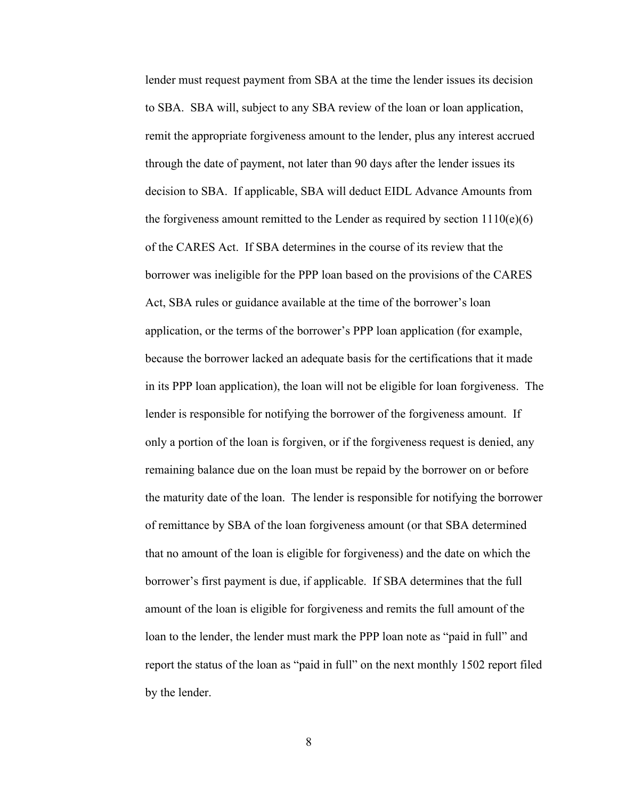lender must request payment from SBA at the time the lender issues its decision to SBA. SBA will, subject to any SBA review of the loan or loan application, remit the appropriate forgiveness amount to the lender, plus any interest accrued through the date of payment, not later than 90 days after the lender issues its decision to SBA. If applicable, SBA will deduct EIDL Advance Amounts from the forgiveness amount remitted to the Lender as required by section  $1110(e)(6)$ of the CARES Act. If SBA determines in the course of its review that the borrower was ineligible for the PPP loan based on the provisions of the CARES Act, SBA rules or guidance available at the time of the borrower's loan application, or the terms of the borrower's PPP loan application (for example, because the borrower lacked an adequate basis for the certifications that it made in its PPP loan application), the loan will not be eligible for loan forgiveness. The lender is responsible for notifying the borrower of the forgiveness amount. If only a portion of the loan is forgiven, or if the forgiveness request is denied, any remaining balance due on the loan must be repaid by the borrower on or before the maturity date of the loan. The lender is responsible for notifying the borrower of remittance by SBA of the loan forgiveness amount (or that SBA determined that no amount of the loan is eligible for forgiveness) and the date on which the borrower's first payment is due, if applicable. If SBA determines that the full amount of the loan is eligible for forgiveness and remits the full amount of the loan to the lender, the lender must mark the PPP loan note as "paid in full" and report the status of the loan as "paid in full" on the next monthly 1502 report filed by the lender.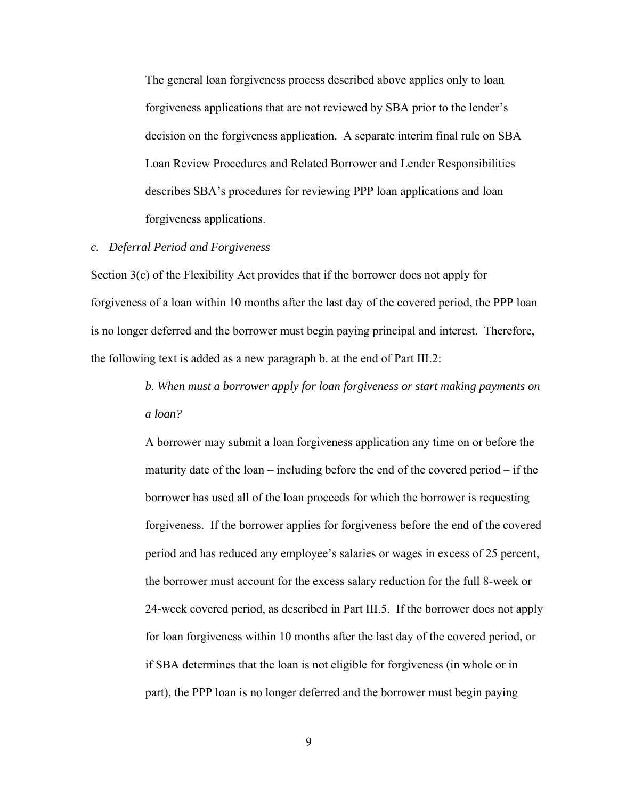The general loan forgiveness process described above applies only to loan forgiveness applications that are not reviewed by SBA prior to the lender's decision on the forgiveness application. A separate interim final rule on SBA Loan Review Procedures and Related Borrower and Lender Responsibilities describes SBA's procedures for reviewing PPP loan applications and loan forgiveness applications.

### *c. Deferral Period and Forgiveness*

Section 3(c) of the Flexibility Act provides that if the borrower does not apply for forgiveness of a loan within 10 months after the last day of the covered period, the PPP loan is no longer deferred and the borrower must begin paying principal and interest. Therefore, the following text is added as a new paragraph b. at the end of Part III.2:

> *b. When must a borrower apply for loan forgiveness or start making payments on a loan?*

> A borrower may submit a loan forgiveness application any time on or before the maturity date of the loan – including before the end of the covered period – if the borrower has used all of the loan proceeds for which the borrower is requesting forgiveness. If the borrower applies for forgiveness before the end of the covered period and has reduced any employee's salaries or wages in excess of 25 percent, the borrower must account for the excess salary reduction for the full 8-week or 24-week covered period, as described in Part III.5. If the borrower does not apply for loan forgiveness within 10 months after the last day of the covered period, or if SBA determines that the loan is not eligible for forgiveness (in whole or in part), the PPP loan is no longer deferred and the borrower must begin paying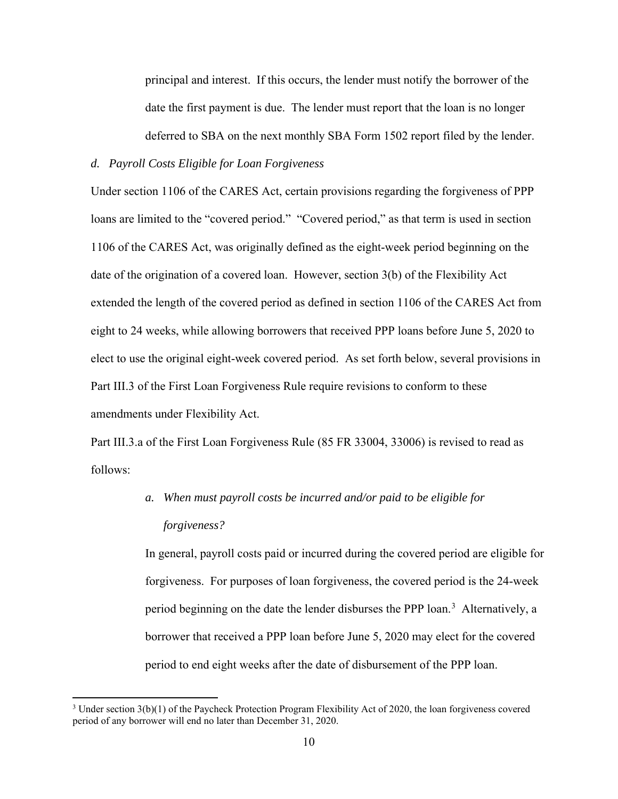principal and interest. If this occurs, the lender must notify the borrower of the date the first payment is due. The lender must report that the loan is no longer deferred to SBA on the next monthly SBA Form 1502 report filed by the lender.

# *d. Payroll Costs Eligible for Loan Forgiveness*

Under section 1106 of the CARES Act, certain provisions regarding the forgiveness of PPP loans are limited to the "covered period." "Covered period," as that term is used in section 1106 of the CARES Act, was originally defined as the eight-week period beginning on the date of the origination of a covered loan. However, section 3(b) of the Flexibility Act extended the length of the covered period as defined in section 1106 of the CARES Act from eight to 24 weeks, while allowing borrowers that received PPP loans before June 5, 2020 to elect to use the original eight-week covered period. As set forth below, several provisions in Part III.3 of the First Loan Forgiveness Rule require revisions to conform to these amendments under Flexibility Act.

Part III.3.a of the First Loan Forgiveness Rule (85 FR 33004, 33006) is revised to read as follows:

# *a. When must payroll costs be incurred and/or paid to be eligible for forgiveness?*

In general, payroll costs paid or incurred during the covered period are eligible for forgiveness. For purposes of loan forgiveness, the covered period is the 24-week period beginning on the date the lender disburses the PPP loan.<sup>[3](#page-9-0)</sup> Alternatively, a borrower that received a PPP loan before June 5, 2020 may elect for the covered period to end eight weeks after the date of disbursement of the PPP loan.

<span id="page-9-0"></span><sup>3</sup> Under section 3(b)(1) of the Paycheck Protection Program Flexibility Act of 2020, the loan forgiveness covered period of any borrower will end no later than December 31, 2020.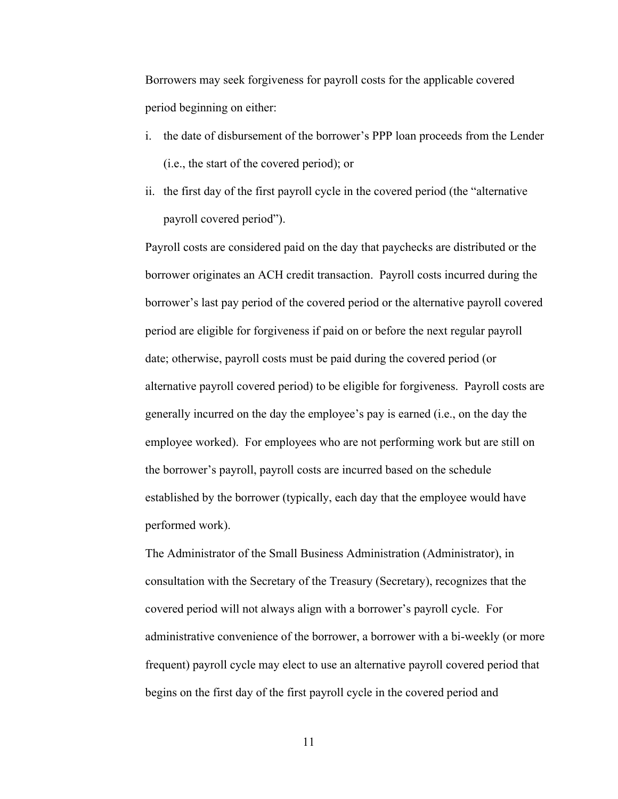Borrowers may seek forgiveness for payroll costs for the applicable covered period beginning on either:

- i. the date of disbursement of the borrower's PPP loan proceeds from the Lender (i.e., the start of the covered period); or
- ii. the first day of the first payroll cycle in the covered period (the "alternative payroll covered period").

Payroll costs are considered paid on the day that paychecks are distributed or the borrower originates an ACH credit transaction. Payroll costs incurred during the borrower's last pay period of the covered period or the alternative payroll covered period are eligible for forgiveness if paid on or before the next regular payroll date; otherwise, payroll costs must be paid during the covered period (or alternative payroll covered period) to be eligible for forgiveness. Payroll costs are generally incurred on the day the employee's pay is earned (i.e., on the day the employee worked). For employees who are not performing work but are still on the borrower's payroll, payroll costs are incurred based on the schedule established by the borrower (typically, each day that the employee would have performed work).

The Administrator of the Small Business Administration (Administrator), in consultation with the Secretary of the Treasury (Secretary), recognizes that the covered period will not always align with a borrower's payroll cycle. For administrative convenience of the borrower, a borrower with a bi-weekly (or more frequent) payroll cycle may elect to use an alternative payroll covered period that begins on the first day of the first payroll cycle in the covered period and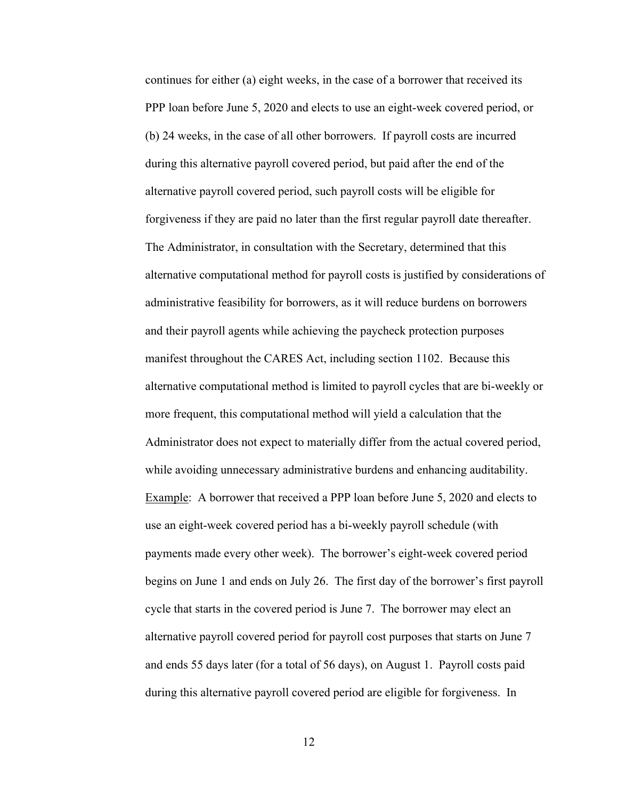continues for either (a) eight weeks, in the case of a borrower that received its PPP loan before June 5, 2020 and elects to use an eight-week covered period, or (b) 24 weeks, in the case of all other borrowers. If payroll costs are incurred during this alternative payroll covered period, but paid after the end of the alternative payroll covered period, such payroll costs will be eligible for forgiveness if they are paid no later than the first regular payroll date thereafter. The Administrator, in consultation with the Secretary, determined that this alternative computational method for payroll costs is justified by considerations of administrative feasibility for borrowers, as it will reduce burdens on borrowers and their payroll agents while achieving the paycheck protection purposes manifest throughout the CARES Act, including section 1102. Because this alternative computational method is limited to payroll cycles that are bi-weekly or more frequent, this computational method will yield a calculation that the Administrator does not expect to materially differ from the actual covered period, while avoiding unnecessary administrative burdens and enhancing auditability. Example: A borrower that received a PPP loan before June 5, 2020 and elects to use an eight-week covered period has a bi-weekly payroll schedule (with payments made every other week). The borrower's eight-week covered period begins on June 1 and ends on July 26. The first day of the borrower's first payroll cycle that starts in the covered period is June 7. The borrower may elect an alternative payroll covered period for payroll cost purposes that starts on June 7 and ends 55 days later (for a total of 56 days), on August 1. Payroll costs paid during this alternative payroll covered period are eligible for forgiveness. In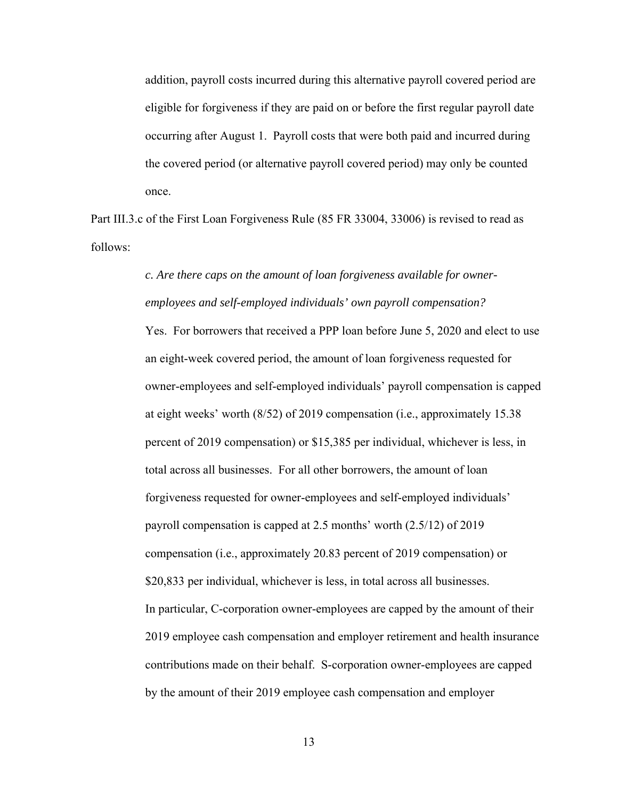addition, payroll costs incurred during this alternative payroll covered period are eligible for forgiveness if they are paid on or before the first regular payroll date occurring after August 1. Payroll costs that were both paid and incurred during the covered period (or alternative payroll covered period) may only be counted once.

Part III.3.c of the First Loan Forgiveness Rule (85 FR 33004, 33006) is revised to read as follows:

# *c. Are there caps on the amount of loan forgiveness available for owneremployees and self-employed individuals' own payroll compensation?*

Yes. For borrowers that received a PPP loan before June 5, 2020 and elect to use an eight-week covered period, the amount of loan forgiveness requested for owner-employees and self-employed individuals' payroll compensation is capped at eight weeks' worth (8/52) of 2019 compensation (i.e., approximately 15.38 percent of 2019 compensation) or \$15,385 per individual, whichever is less, in total across all businesses. For all other borrowers, the amount of loan forgiveness requested for owner-employees and self-employed individuals' payroll compensation is capped at 2.5 months' worth (2.5/12) of 2019 compensation (i.e., approximately 20.83 percent of 2019 compensation) or \$20,833 per individual, whichever is less, in total across all businesses. In particular, C-corporation owner-employees are capped by the amount of their 2019 employee cash compensation and employer retirement and health insurance contributions made on their behalf. S-corporation owner-employees are capped by the amount of their 2019 employee cash compensation and employer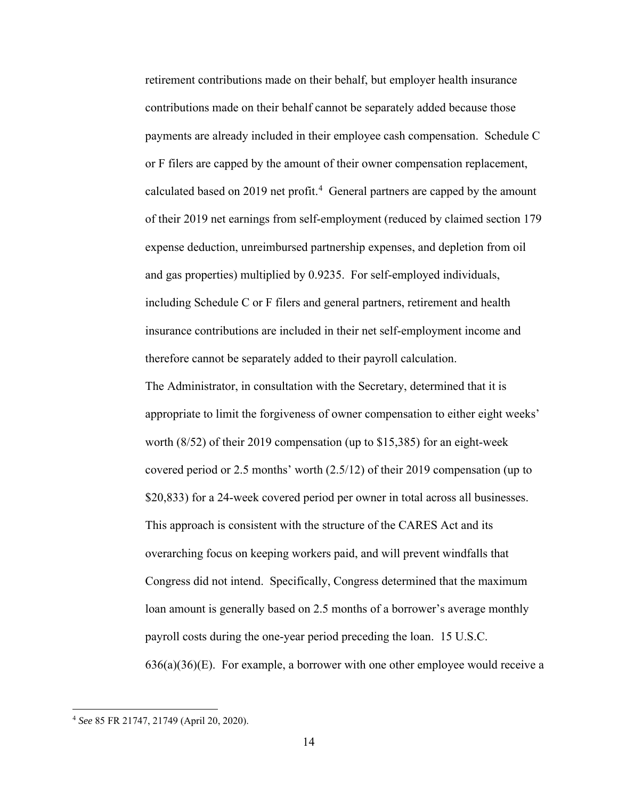retirement contributions made on their behalf, but employer health insurance contributions made on their behalf cannot be separately added because those payments are already included in their employee cash compensation. Schedule C or F filers are capped by the amount of their owner compensation replacement, calculated based on 2019 net profit.<sup>[4](#page-13-0)</sup> General partners are capped by the amount of their 2019 net earnings from self-employment (reduced by claimed section 179 expense deduction, unreimbursed partnership expenses, and depletion from oil and gas properties) multiplied by 0.9235. For self-employed individuals, including Schedule C or F filers and general partners, retirement and health insurance contributions are included in their net self-employment income and therefore cannot be separately added to their payroll calculation.

The Administrator, in consultation with the Secretary, determined that it is appropriate to limit the forgiveness of owner compensation to either eight weeks' worth (8/52) of their 2019 compensation (up to \$15,385) for an eight-week covered period or 2.5 months' worth (2.5/12) of their 2019 compensation (up to \$20,833) for a 24-week covered period per owner in total across all businesses. This approach is consistent with the structure of the CARES Act and its overarching focus on keeping workers paid, and will prevent windfalls that Congress did not intend. Specifically, Congress determined that the maximum loan amount is generally based on 2.5 months of a borrower's average monthly payroll costs during the one-year period preceding the loan. 15 U.S.C.  $636(a)(36)$ (E). For example, a borrower with one other employee would receive a

<span id="page-13-0"></span><sup>4</sup> *See* 85 FR 21747, 21749 (April 20, 2020).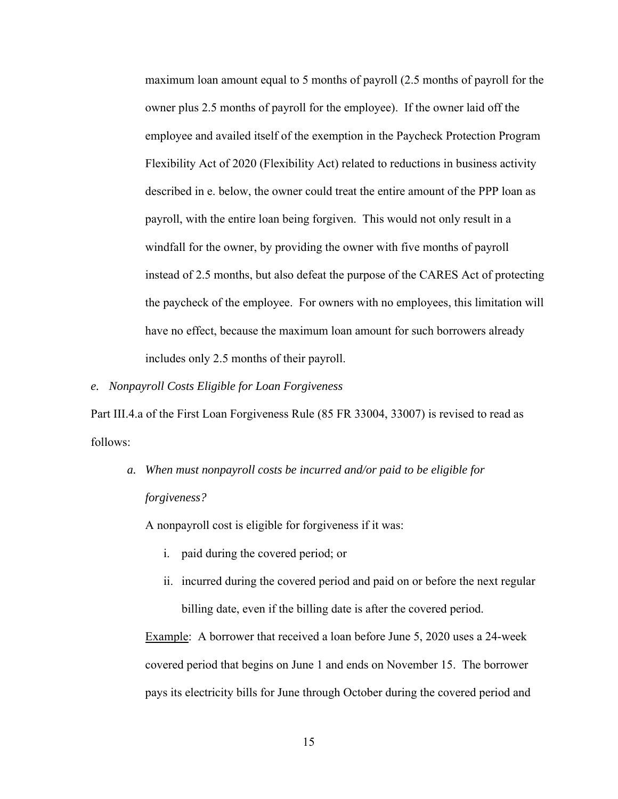maximum loan amount equal to 5 months of payroll (2.5 months of payroll for the owner plus 2.5 months of payroll for the employee). If the owner laid off the employee and availed itself of the exemption in the Paycheck Protection Program Flexibility Act of 2020 (Flexibility Act) related to reductions in business activity described in e. below, the owner could treat the entire amount of the PPP loan as payroll, with the entire loan being forgiven. This would not only result in a windfall for the owner, by providing the owner with five months of payroll instead of 2.5 months, but also defeat the purpose of the CARES Act of protecting the paycheck of the employee. For owners with no employees, this limitation will have no effect, because the maximum loan amount for such borrowers already includes only 2.5 months of their payroll.

*e. Nonpayroll Costs Eligible for Loan Forgiveness*

Part III.4.a of the First Loan Forgiveness Rule (85 FR 33004, 33007) is revised to read as follows:

*a. When must nonpayroll costs be incurred and/or paid to be eligible for forgiveness?*

A nonpayroll cost is eligible for forgiveness if it was:

- i. paid during the covered period; or
- ii. incurred during the covered period and paid on or before the next regular billing date, even if the billing date is after the covered period.

Example: A borrower that received a loan before June 5, 2020 uses a 24-week covered period that begins on June 1 and ends on November 15. The borrower pays its electricity bills for June through October during the covered period and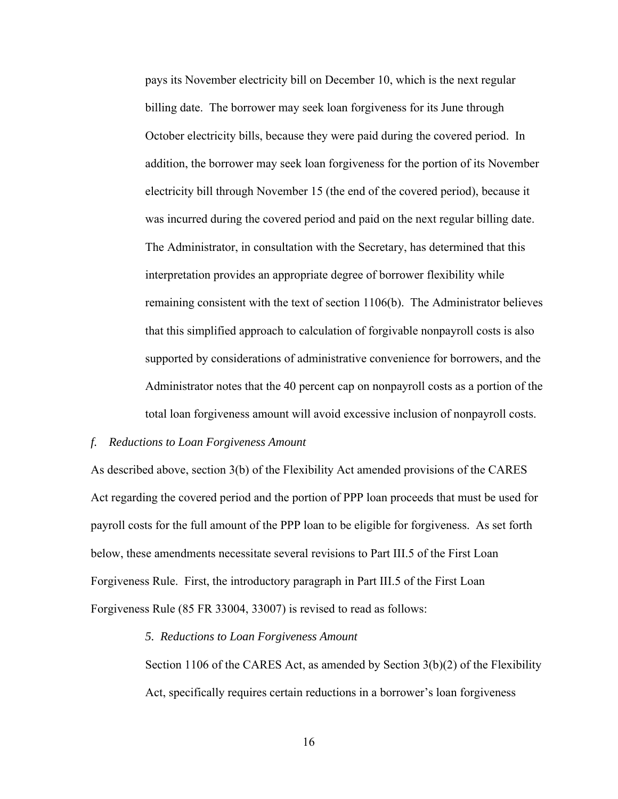pays its November electricity bill on December 10, which is the next regular billing date. The borrower may seek loan forgiveness for its June through October electricity bills, because they were paid during the covered period. In addition, the borrower may seek loan forgiveness for the portion of its November electricity bill through November 15 (the end of the covered period), because it was incurred during the covered period and paid on the next regular billing date. The Administrator, in consultation with the Secretary, has determined that this interpretation provides an appropriate degree of borrower flexibility while remaining consistent with the text of section 1106(b). The Administrator believes that this simplified approach to calculation of forgivable nonpayroll costs is also supported by considerations of administrative convenience for borrowers, and the Administrator notes that the 40 percent cap on nonpayroll costs as a portion of the total loan forgiveness amount will avoid excessive inclusion of nonpayroll costs.

## *f. Reductions to Loan Forgiveness Amount*

As described above, section 3(b) of the Flexibility Act amended provisions of the CARES Act regarding the covered period and the portion of PPP loan proceeds that must be used for payroll costs for the full amount of the PPP loan to be eligible for forgiveness. As set forth below, these amendments necessitate several revisions to Part III.5 of the First Loan Forgiveness Rule. First, the introductory paragraph in Part III.5 of the First Loan Forgiveness Rule (85 FR 33004, 33007) is revised to read as follows:

## *5. Reductions to Loan Forgiveness Amount*

Section 1106 of the CARES Act, as amended by Section 3(b)(2) of the Flexibility Act, specifically requires certain reductions in a borrower's loan forgiveness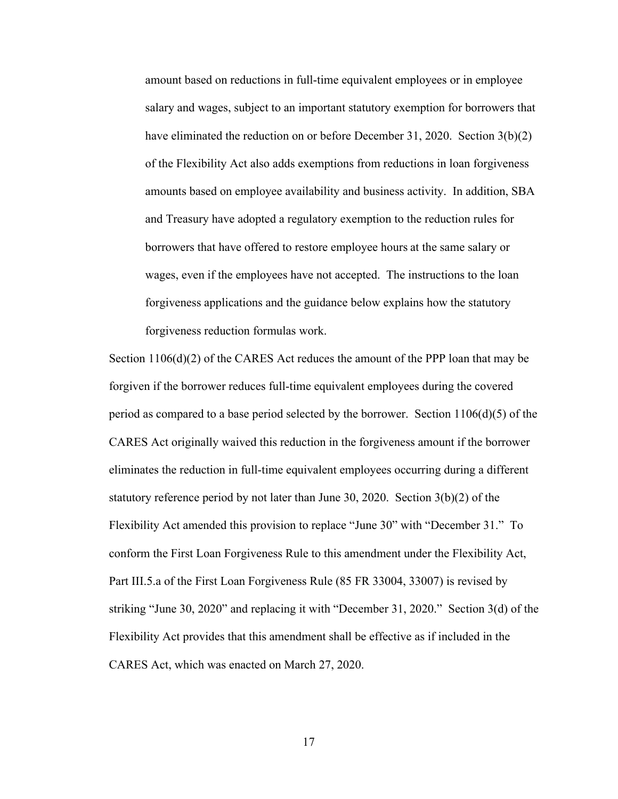amount based on reductions in full-time equivalent employees or in employee salary and wages, subject to an important statutory exemption for borrowers that have eliminated the reduction on or before December 31, 2020. Section 3(b)(2) of the Flexibility Act also adds exemptions from reductions in loan forgiveness amounts based on employee availability and business activity. In addition, SBA and Treasury have adopted a regulatory exemption to the reduction rules for borrowers that have offered to restore employee hours at the same salary or wages, even if the employees have not accepted. The instructions to the loan forgiveness applications and the guidance below explains how the statutory forgiveness reduction formulas work.

Section 1106(d)(2) of the CARES Act reduces the amount of the PPP loan that may be forgiven if the borrower reduces full-time equivalent employees during the covered period as compared to a base period selected by the borrower. Section  $1106(d)(5)$  of the CARES Act originally waived this reduction in the forgiveness amount if the borrower eliminates the reduction in full-time equivalent employees occurring during a different statutory reference period by not later than June 30, 2020. Section 3(b)(2) of the Flexibility Act amended this provision to replace "June 30" with "December 31." To conform the First Loan Forgiveness Rule to this amendment under the Flexibility Act, Part III.5.a of the First Loan Forgiveness Rule (85 FR 33004, 33007) is revised by striking "June 30, 2020" and replacing it with "December 31, 2020." Section 3(d) of the Flexibility Act provides that this amendment shall be effective as if included in the CARES Act, which was enacted on March 27, 2020.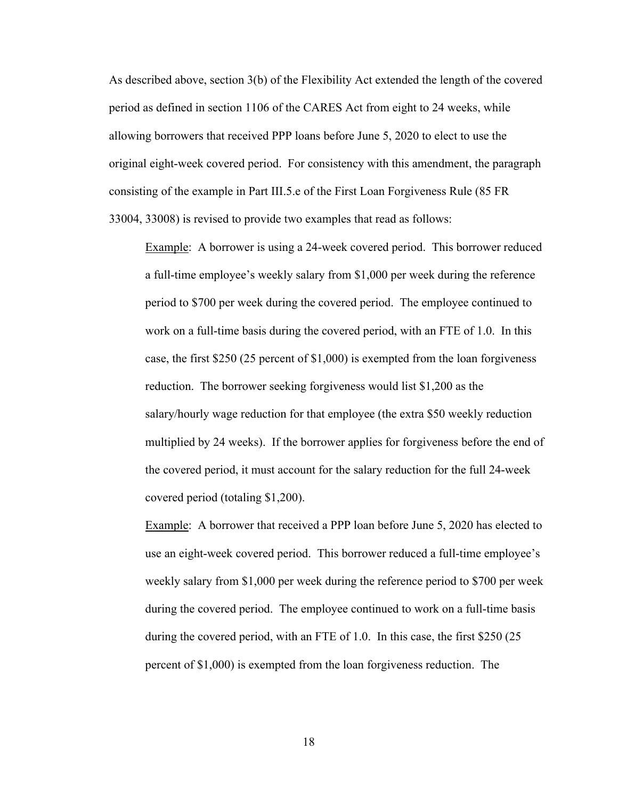As described above, section 3(b) of the Flexibility Act extended the length of the covered period as defined in section 1106 of the CARES Act from eight to 24 weeks, while allowing borrowers that received PPP loans before June 5, 2020 to elect to use the original eight-week covered period. For consistency with this amendment, the paragraph consisting of the example in Part III.5.e of the First Loan Forgiveness Rule (85 FR 33004, 33008) is revised to provide two examples that read as follows:

Example: A borrower is using a 24-week covered period. This borrower reduced a full-time employee's weekly salary from \$1,000 per week during the reference period to \$700 per week during the covered period. The employee continued to work on a full-time basis during the covered period, with an FTE of 1.0. In this case, the first \$250 (25 percent of \$1,000) is exempted from the loan forgiveness reduction. The borrower seeking forgiveness would list \$1,200 as the salary/hourly wage reduction for that employee (the extra \$50 weekly reduction multiplied by 24 weeks). If the borrower applies for forgiveness before the end of the covered period, it must account for the salary reduction for the full 24-week covered period (totaling \$1,200).

Example: A borrower that received a PPP loan before June 5, 2020 has elected to use an eight-week covered period. This borrower reduced a full-time employee's weekly salary from \$1,000 per week during the reference period to \$700 per week during the covered period. The employee continued to work on a full-time basis during the covered period, with an FTE of 1.0. In this case, the first \$250 (25 percent of \$1,000) is exempted from the loan forgiveness reduction. The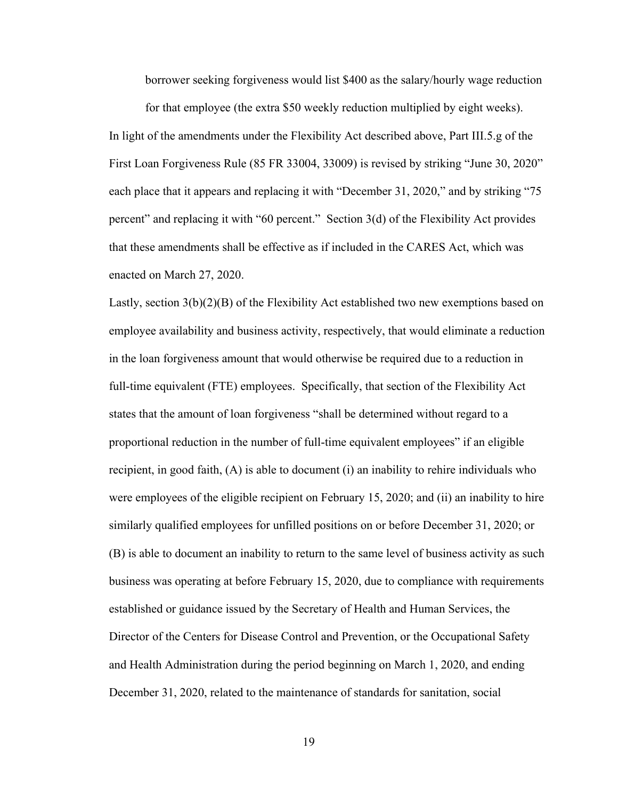borrower seeking forgiveness would list \$400 as the salary/hourly wage reduction

for that employee (the extra \$50 weekly reduction multiplied by eight weeks). In light of the amendments under the Flexibility Act described above, Part III.5.g of the First Loan Forgiveness Rule (85 FR 33004, 33009) is revised by striking "June 30, 2020" each place that it appears and replacing it with "December 31, 2020," and by striking "75 percent" and replacing it with "60 percent." Section 3(d) of the Flexibility Act provides that these amendments shall be effective as if included in the CARES Act, which was enacted on March 27, 2020.

Lastly, section 3(b)(2)(B) of the Flexibility Act established two new exemptions based on employee availability and business activity, respectively, that would eliminate a reduction in the loan forgiveness amount that would otherwise be required due to a reduction in full-time equivalent (FTE) employees. Specifically, that section of the Flexibility Act states that the amount of loan forgiveness "shall be determined without regard to a proportional reduction in the number of full-time equivalent employees" if an eligible recipient, in good faith, (A) is able to document (i) an inability to rehire individuals who were employees of the eligible recipient on February 15, 2020; and (ii) an inability to hire similarly qualified employees for unfilled positions on or before December 31, 2020; or (B) is able to document an inability to return to the same level of business activity as such business was operating at before February 15, 2020, due to compliance with requirements established or guidance issued by the Secretary of Health and Human Services, the Director of the Centers for Disease Control and Prevention, or the Occupational Safety and Health Administration during the period beginning on March 1, 2020, and ending December 31, 2020, related to the maintenance of standards for sanitation, social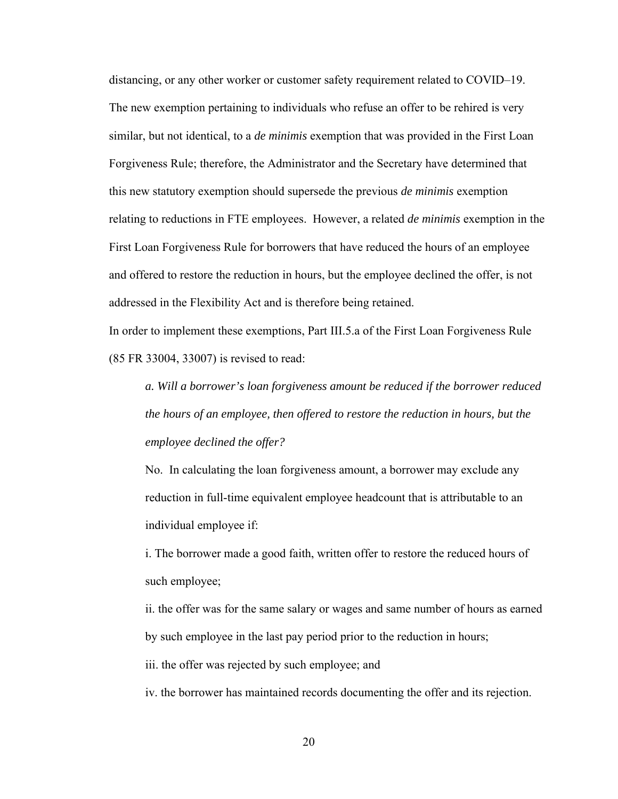distancing, or any other worker or customer safety requirement related to COVID–19. The new exemption pertaining to individuals who refuse an offer to be rehired is very similar, but not identical, to a *de minimis* exemption that was provided in the First Loan Forgiveness Rule; therefore, the Administrator and the Secretary have determined that this new statutory exemption should supersede the previous *de minimis* exemption relating to reductions in FTE employees. However, a related *de minimis* exemption in the First Loan Forgiveness Rule for borrowers that have reduced the hours of an employee and offered to restore the reduction in hours, but the employee declined the offer, is not addressed in the Flexibility Act and is therefore being retained.

In order to implement these exemptions, Part III.5.a of the First Loan Forgiveness Rule (85 FR 33004, 33007) is revised to read:

*a. Will a borrower's loan forgiveness amount be reduced if the borrower reduced the hours of an employee, then offered to restore the reduction in hours, but the employee declined the offer?*

No. In calculating the loan forgiveness amount, a borrower may exclude any reduction in full-time equivalent employee headcount that is attributable to an individual employee if:

i. The borrower made a good faith, written offer to restore the reduced hours of such employee;

ii. the offer was for the same salary or wages and same number of hours as earned by such employee in the last pay period prior to the reduction in hours;

iii. the offer was rejected by such employee; and

iv. the borrower has maintained records documenting the offer and its rejection.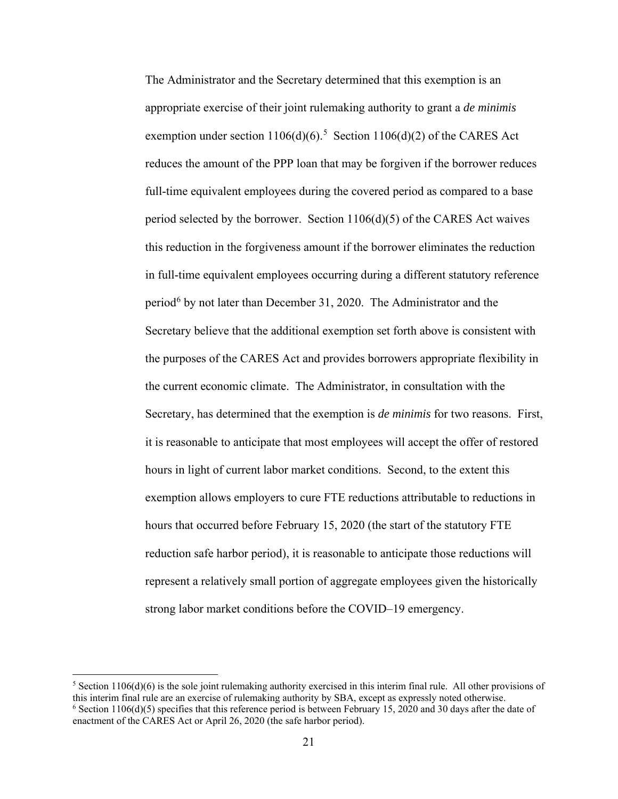The Administrator and the Secretary determined that this exemption is an appropriate exercise of their joint rulemaking authority to grant a *de minimis* exemption under section  $1106(d)(6)$ .<sup>[5](#page-20-0)</sup> Section  $1106(d)(2)$  of the CARES Act reduces the amount of the PPP loan that may be forgiven if the borrower reduces full-time equivalent employees during the covered period as compared to a base period selected by the borrower. Section 1106(d)(5) of the CARES Act waives this reduction in the forgiveness amount if the borrower eliminates the reduction in full-time equivalent employees occurring during a different statutory reference period<sup>[6](#page-20-1)</sup> by not later than December 31, 2020. The Administrator and the Secretary believe that the additional exemption set forth above is consistent with the purposes of the CARES Act and provides borrowers appropriate flexibility in the current economic climate. The Administrator, in consultation with the Secretary, has determined that the exemption is *de minimis* for two reasons. First, it is reasonable to anticipate that most employees will accept the offer of restored hours in light of current labor market conditions. Second, to the extent this exemption allows employers to cure FTE reductions attributable to reductions in hours that occurred before February 15, 2020 (the start of the statutory FTE reduction safe harbor period), it is reasonable to anticipate those reductions will represent a relatively small portion of aggregate employees given the historically strong labor market conditions before the COVID–19 emergency.

<span id="page-20-1"></span><span id="page-20-0"></span><sup>&</sup>lt;sup>5</sup> Section 1106(d)(6) is the sole joint rulemaking authority exercised in this interim final rule. All other provisions of this interim final rule are an exercise of rulemaking authority by SBA, except as expressly noted otherwise.  $6$  Section 1106(d)(5) specifies that this reference period is between February 15, 2020 and 30 days after the date of enactment of the CARES Act or April 26, 2020 (the safe harbor period).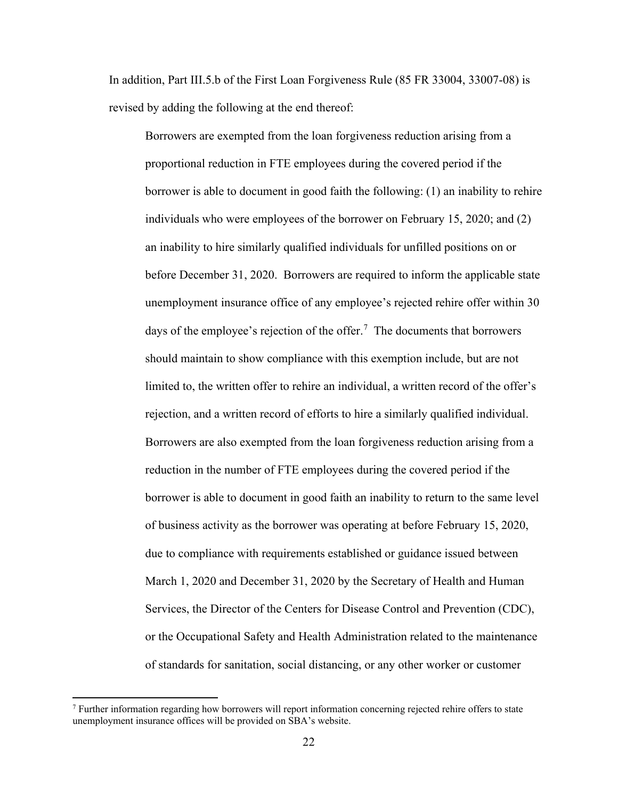In addition, Part III.5.b of the First Loan Forgiveness Rule (85 FR 33004, 33007-08) is revised by adding the following at the end thereof:

Borrowers are exempted from the loan forgiveness reduction arising from a proportional reduction in FTE employees during the covered period if the borrower is able to document in good faith the following: (1) an inability to rehire individuals who were employees of the borrower on February 15, 2020; and (2) an inability to hire similarly qualified individuals for unfilled positions on or before December 31, 2020. Borrowers are required to inform the applicable state unemployment insurance office of any employee's rejected rehire offer within 30 days of the employee's rejection of the offer.<sup>[7](#page-21-0)</sup> The documents that borrowers should maintain to show compliance with this exemption include, but are not limited to, the written offer to rehire an individual, a written record of the offer's rejection, and a written record of efforts to hire a similarly qualified individual. Borrowers are also exempted from the loan forgiveness reduction arising from a reduction in the number of FTE employees during the covered period if the borrower is able to document in good faith an inability to return to the same level of business activity as the borrower was operating at before February 15, 2020, due to compliance with requirements established or guidance issued between March 1, 2020 and December 31, 2020 by the Secretary of Health and Human Services, the Director of the Centers for Disease Control and Prevention (CDC), or the Occupational Safety and Health Administration related to the maintenance of standards for sanitation, social distancing, or any other worker or customer

<span id="page-21-0"></span><sup>7</sup> Further information regarding how borrowers will report information concerning rejected rehire offers to state unemployment insurance offices will be provided on SBA's website.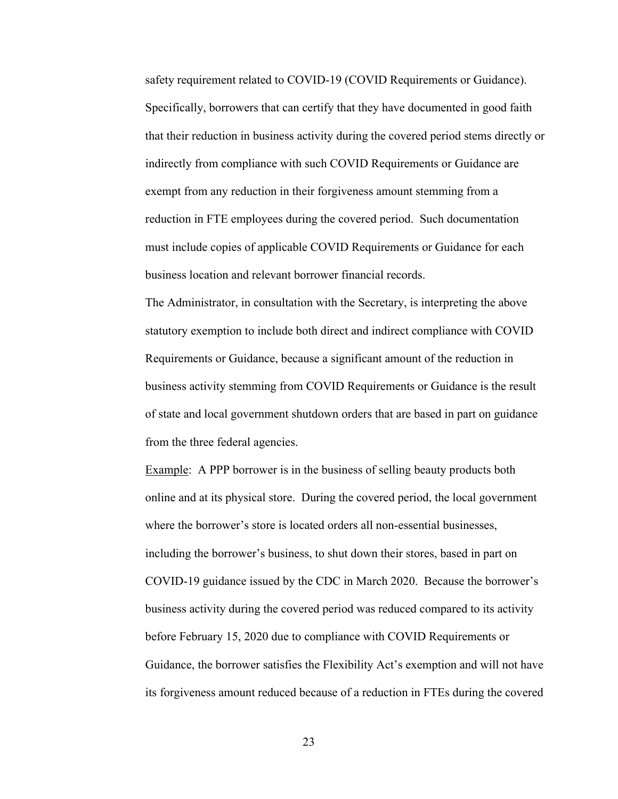safety requirement related to COVID-19 (COVID Requirements or Guidance). Specifically, borrowers that can certify that they have documented in good faith that their reduction in business activity during the covered period stems directly or indirectly from compliance with such COVID Requirements or Guidance are exempt from any reduction in their forgiveness amount stemming from a reduction in FTE employees during the covered period. Such documentation must include copies of applicable COVID Requirements or Guidance for each business location and relevant borrower financial records.

The Administrator, in consultation with the Secretary, is interpreting the above statutory exemption to include both direct and indirect compliance with COVID Requirements or Guidance, because a significant amount of the reduction in business activity stemming from COVID Requirements or Guidance is the result of state and local government shutdown orders that are based in part on guidance from the three federal agencies.

Example: A PPP borrower is in the business of selling beauty products both online and at its physical store. During the covered period, the local government where the borrower's store is located orders all non-essential businesses, including the borrower's business, to shut down their stores, based in part on COVID-19 guidance issued by the CDC in March 2020. Because the borrower's business activity during the covered period was reduced compared to its activity before February 15, 2020 due to compliance with COVID Requirements or Guidance, the borrower satisfies the Flexibility Act's exemption and will not have its forgiveness amount reduced because of a reduction in FTEs during the covered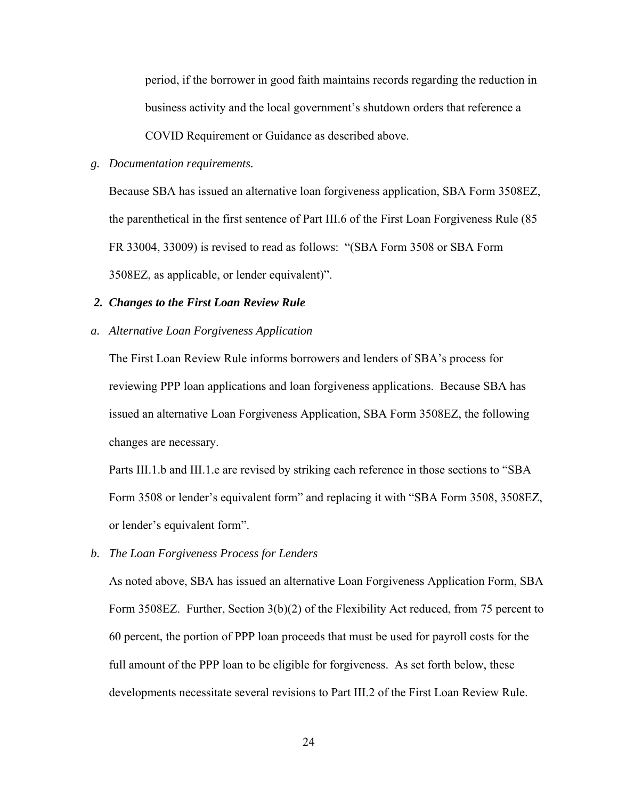period, if the borrower in good faith maintains records regarding the reduction in business activity and the local government's shutdown orders that reference a COVID Requirement or Guidance as described above.

### *g. Documentation requirements.*

Because SBA has issued an alternative loan forgiveness application, SBA Form 3508EZ, the parenthetical in the first sentence of Part III.6 of the First Loan Forgiveness Rule (85 FR 33004, 33009) is revised to read as follows: "(SBA Form 3508 or SBA Form 3508EZ, as applicable, or lender equivalent)".

### *2. Changes to the First Loan Review Rule*

#### *a. Alternative Loan Forgiveness Application*

The First Loan Review Rule informs borrowers and lenders of SBA's process for reviewing PPP loan applications and loan forgiveness applications. Because SBA has issued an alternative Loan Forgiveness Application, SBA Form 3508EZ, the following changes are necessary.

Parts III.1.b and III.1.e are revised by striking each reference in those sections to "SBA Form 3508 or lender's equivalent form" and replacing it with "SBA Form 3508, 3508EZ, or lender's equivalent form".

*b. The Loan Forgiveness Process for Lenders*

As noted above, SBA has issued an alternative Loan Forgiveness Application Form, SBA Form 3508EZ. Further, Section 3(b)(2) of the Flexibility Act reduced, from 75 percent to 60 percent, the portion of PPP loan proceeds that must be used for payroll costs for the full amount of the PPP loan to be eligible for forgiveness. As set forth below, these developments necessitate several revisions to Part III.2 of the First Loan Review Rule.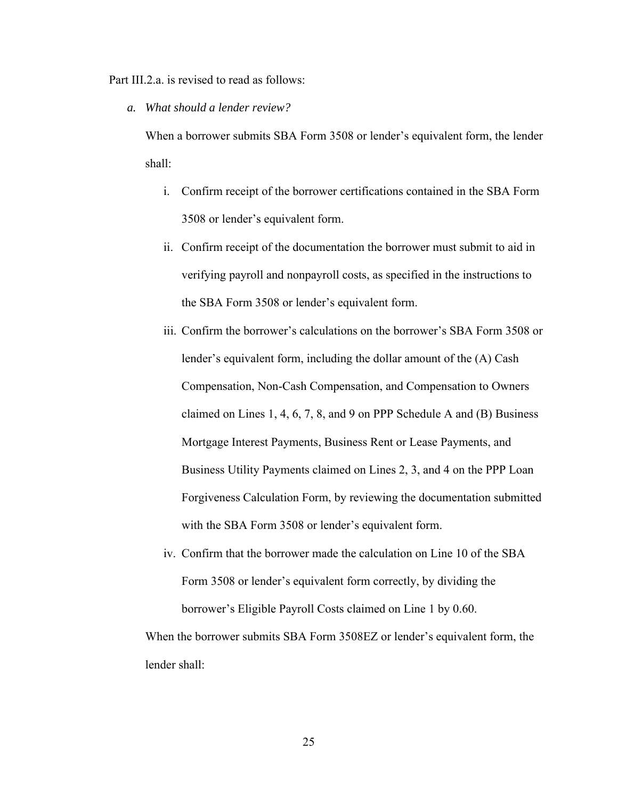Part III.2.a. is revised to read as follows:

*a. What should a lender review?* 

When a borrower submits SBA Form 3508 or lender's equivalent form, the lender shall:

- i. Confirm receipt of the borrower certifications contained in the SBA Form 3508 or lender's equivalent form.
- ii. Confirm receipt of the documentation the borrower must submit to aid in verifying payroll and nonpayroll costs, as specified in the instructions to the SBA Form 3508 or lender's equivalent form.
- iii. Confirm the borrower's calculations on the borrower's SBA Form 3508 or lender's equivalent form, including the dollar amount of the (A) Cash Compensation, Non-Cash Compensation, and Compensation to Owners claimed on Lines 1, 4, 6, 7, 8, and 9 on PPP Schedule A and (B) Business Mortgage Interest Payments, Business Rent or Lease Payments, and Business Utility Payments claimed on Lines 2, 3, and 4 on the PPP Loan Forgiveness Calculation Form, by reviewing the documentation submitted with the SBA Form 3508 or lender's equivalent form.
- iv. Confirm that the borrower made the calculation on Line 10 of the SBA Form 3508 or lender's equivalent form correctly, by dividing the borrower's Eligible Payroll Costs claimed on Line 1 by 0.60.

When the borrower submits SBA Form 3508EZ or lender's equivalent form, the lender shall: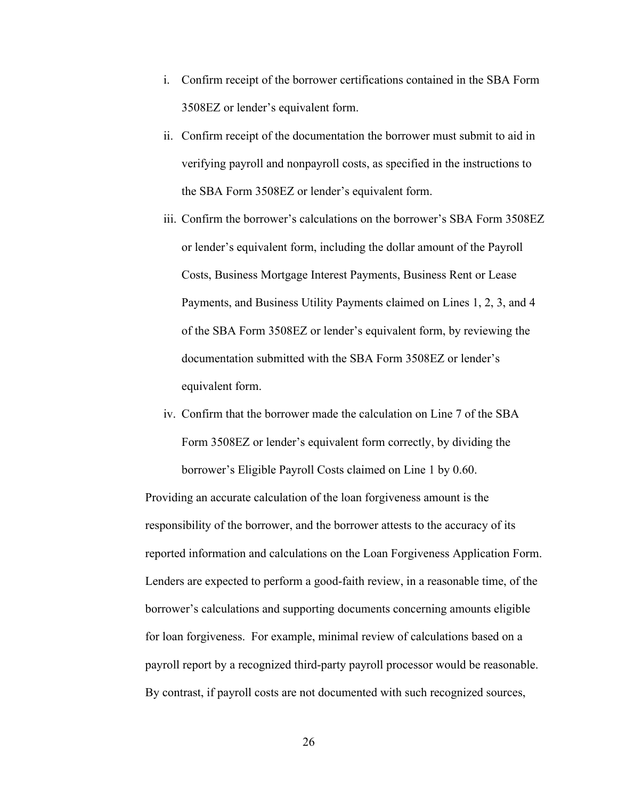- i. Confirm receipt of the borrower certifications contained in the SBA Form 3508EZ or lender's equivalent form.
- ii. Confirm receipt of the documentation the borrower must submit to aid in verifying payroll and nonpayroll costs, as specified in the instructions to the SBA Form 3508EZ or lender's equivalent form.
- iii. Confirm the borrower's calculations on the borrower's SBA Form 3508EZ or lender's equivalent form, including the dollar amount of the Payroll Costs, Business Mortgage Interest Payments, Business Rent or Lease Payments, and Business Utility Payments claimed on Lines 1, 2, 3, and 4 of the SBA Form 3508EZ or lender's equivalent form, by reviewing the documentation submitted with the SBA Form 3508EZ or lender's equivalent form.
- iv. Confirm that the borrower made the calculation on Line 7 of the SBA Form 3508EZ or lender's equivalent form correctly, by dividing the borrower's Eligible Payroll Costs claimed on Line 1 by 0.60.

Providing an accurate calculation of the loan forgiveness amount is the responsibility of the borrower, and the borrower attests to the accuracy of its reported information and calculations on the Loan Forgiveness Application Form. Lenders are expected to perform a good-faith review, in a reasonable time, of the borrower's calculations and supporting documents concerning amounts eligible for loan forgiveness. For example, minimal review of calculations based on a payroll report by a recognized third-party payroll processor would be reasonable. By contrast, if payroll costs are not documented with such recognized sources,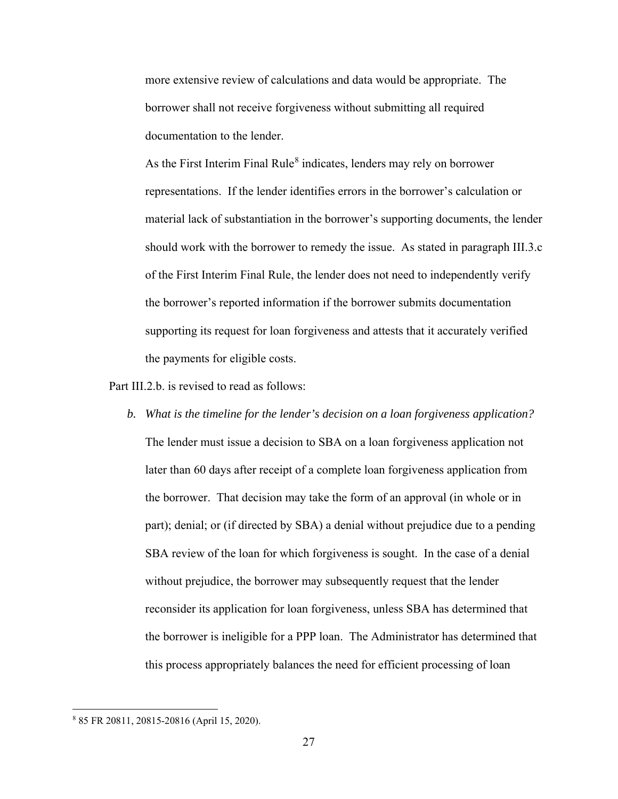more extensive review of calculations and data would be appropriate. The borrower shall not receive forgiveness without submitting all required documentation to the lender.

As the First Interim Final Rule<sup>[8](#page-26-0)</sup> indicates, lenders may rely on borrower representations. If the lender identifies errors in the borrower's calculation or material lack of substantiation in the borrower's supporting documents, the lender should work with the borrower to remedy the issue. As stated in paragraph III.3.c of the First Interim Final Rule, the lender does not need to independently verify the borrower's reported information if the borrower submits documentation supporting its request for loan forgiveness and attests that it accurately verified the payments for eligible costs.

Part III.2.b. is revised to read as follows:

*b. What is the timeline for the lender's decision on a loan forgiveness application?*  The lender must issue a decision to SBA on a loan forgiveness application not later than 60 days after receipt of a complete loan forgiveness application from the borrower. That decision may take the form of an approval (in whole or in part); denial; or (if directed by SBA) a denial without prejudice due to a pending SBA review of the loan for which forgiveness is sought. In the case of a denial without prejudice, the borrower may subsequently request that the lender reconsider its application for loan forgiveness, unless SBA has determined that the borrower is ineligible for a PPP loan. The Administrator has determined that this process appropriately balances the need for efficient processing of loan

<span id="page-26-0"></span><sup>8</sup> 85 FR 20811, 20815-20816 (April 15, 2020).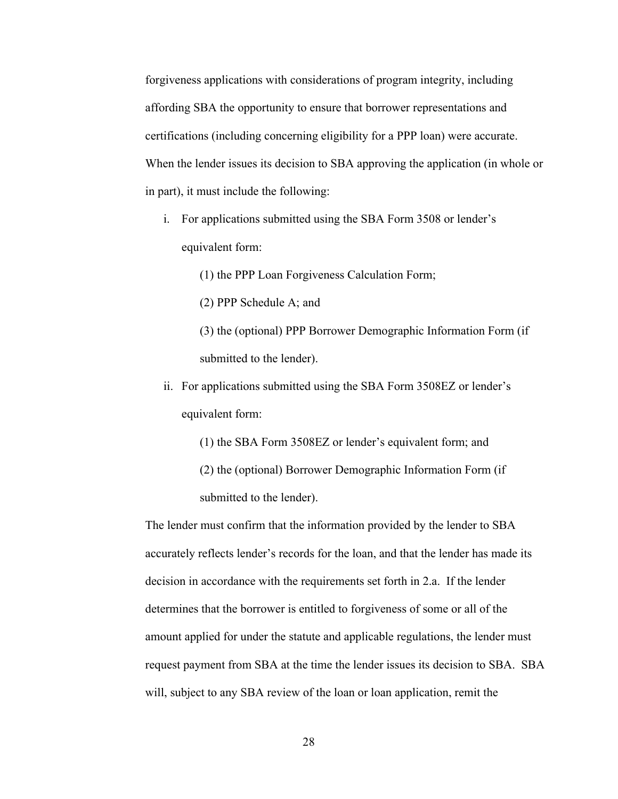forgiveness applications with considerations of program integrity, including affording SBA the opportunity to ensure that borrower representations and certifications (including concerning eligibility for a PPP loan) were accurate. When the lender issues its decision to SBA approving the application (in whole or in part), it must include the following:

i. For applications submitted using the SBA Form 3508 or lender's equivalent form:

(1) the PPP Loan Forgiveness Calculation Form;

(2) PPP Schedule A; and

- (3) the (optional) PPP Borrower Demographic Information Form (if submitted to the lender).
- ii. For applications submitted using the SBA Form 3508EZ or lender's equivalent form:

(1) the SBA Form 3508EZ or lender's equivalent form; and

(2) the (optional) Borrower Demographic Information Form (if submitted to the lender).

The lender must confirm that the information provided by the lender to SBA accurately reflects lender's records for the loan, and that the lender has made its decision in accordance with the requirements set forth in 2.a. If the lender determines that the borrower is entitled to forgiveness of some or all of the amount applied for under the statute and applicable regulations, the lender must request payment from SBA at the time the lender issues its decision to SBA. SBA will, subject to any SBA review of the loan or loan application, remit the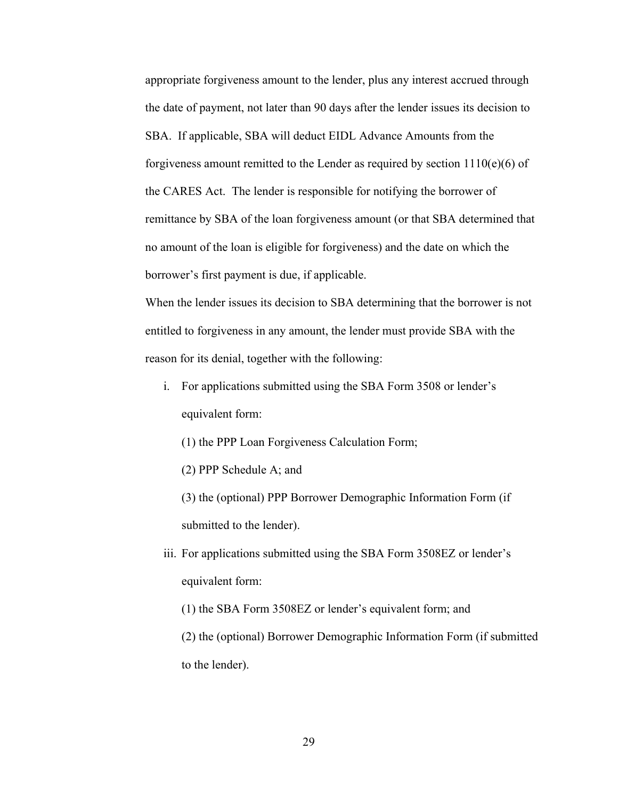appropriate forgiveness amount to the lender, plus any interest accrued through the date of payment, not later than 90 days after the lender issues its decision to SBA. If applicable, SBA will deduct EIDL Advance Amounts from the forgiveness amount remitted to the Lender as required by section  $1110(e)(6)$  of the CARES Act. The lender is responsible for notifying the borrower of remittance by SBA of the loan forgiveness amount (or that SBA determined that no amount of the loan is eligible for forgiveness) and the date on which the borrower's first payment is due, if applicable.

When the lender issues its decision to SBA determining that the borrower is not entitled to forgiveness in any amount, the lender must provide SBA with the reason for its denial, together with the following:

- i. For applications submitted using the SBA Form 3508 or lender's equivalent form:
	- (1) the PPP Loan Forgiveness Calculation Form;
	- (2) PPP Schedule A; and
	- (3) the (optional) PPP Borrower Demographic Information Form (if submitted to the lender).
- iii. For applications submitted using the SBA Form 3508EZ or lender's equivalent form:
	- (1) the SBA Form 3508EZ or lender's equivalent form; and
	- (2) the (optional) Borrower Demographic Information Form (if submitted to the lender).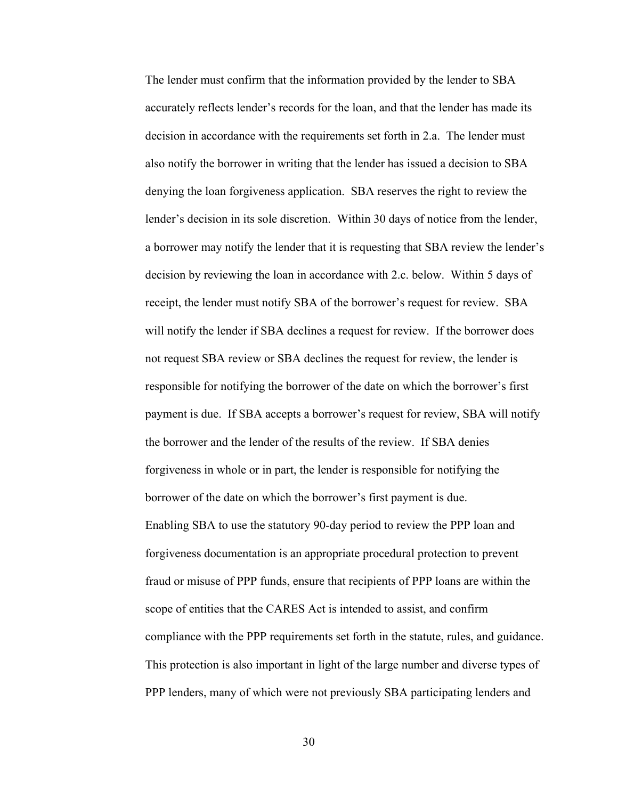The lender must confirm that the information provided by the lender to SBA accurately reflects lender's records for the loan, and that the lender has made its decision in accordance with the requirements set forth in 2.a. The lender must also notify the borrower in writing that the lender has issued a decision to SBA denying the loan forgiveness application. SBA reserves the right to review the lender's decision in its sole discretion. Within 30 days of notice from the lender, a borrower may notify the lender that it is requesting that SBA review the lender's decision by reviewing the loan in accordance with 2.c. below. Within 5 days of receipt, the lender must notify SBA of the borrower's request for review. SBA will notify the lender if SBA declines a request for review. If the borrower does not request SBA review or SBA declines the request for review, the lender is responsible for notifying the borrower of the date on which the borrower's first payment is due. If SBA accepts a borrower's request for review, SBA will notify the borrower and the lender of the results of the review. If SBA denies forgiveness in whole or in part, the lender is responsible for notifying the borrower of the date on which the borrower's first payment is due. Enabling SBA to use the statutory 90-day period to review the PPP loan and forgiveness documentation is an appropriate procedural protection to prevent fraud or misuse of PPP funds, ensure that recipients of PPP loans are within the scope of entities that the CARES Act is intended to assist, and confirm compliance with the PPP requirements set forth in the statute, rules, and guidance. This protection is also important in light of the large number and diverse types of PPP lenders, many of which were not previously SBA participating lenders and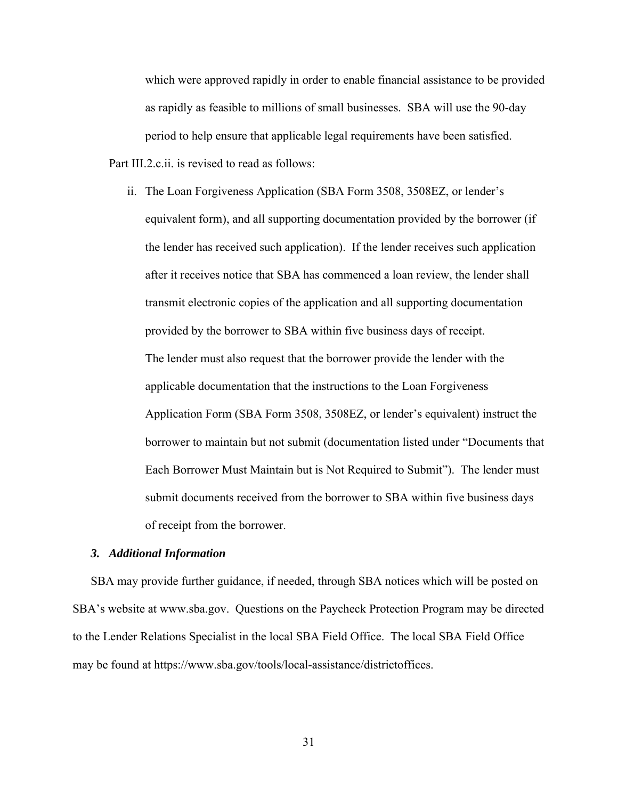which were approved rapidly in order to enable financial assistance to be provided as rapidly as feasible to millions of small businesses. SBA will use the 90-day period to help ensure that applicable legal requirements have been satisfied. Part III.2.c.ii. is revised to read as follows:

ii. The Loan Forgiveness Application (SBA Form 3508, 3508EZ, or lender's equivalent form), and all supporting documentation provided by the borrower (if the lender has received such application). If the lender receives such application after it receives notice that SBA has commenced a loan review, the lender shall transmit electronic copies of the application and all supporting documentation provided by the borrower to SBA within five business days of receipt. The lender must also request that the borrower provide the lender with the applicable documentation that the instructions to the Loan Forgiveness Application Form (SBA Form 3508, 3508EZ, or lender's equivalent) instruct the borrower to maintain but not submit (documentation listed under "Documents that Each Borrower Must Maintain but is Not Required to Submit"). The lender must submit documents received from the borrower to SBA within five business days of receipt from the borrower.

### *3. Additional Information*

SBA may provide further guidance, if needed, through SBA notices which will be posted on SBA's website at www.sba.gov. Questions on the Paycheck Protection Program may be directed to the Lender Relations Specialist in the local SBA Field Office. The local SBA Field Office may be found at https://www.sba.gov/tools/local-assistance/districtoffices.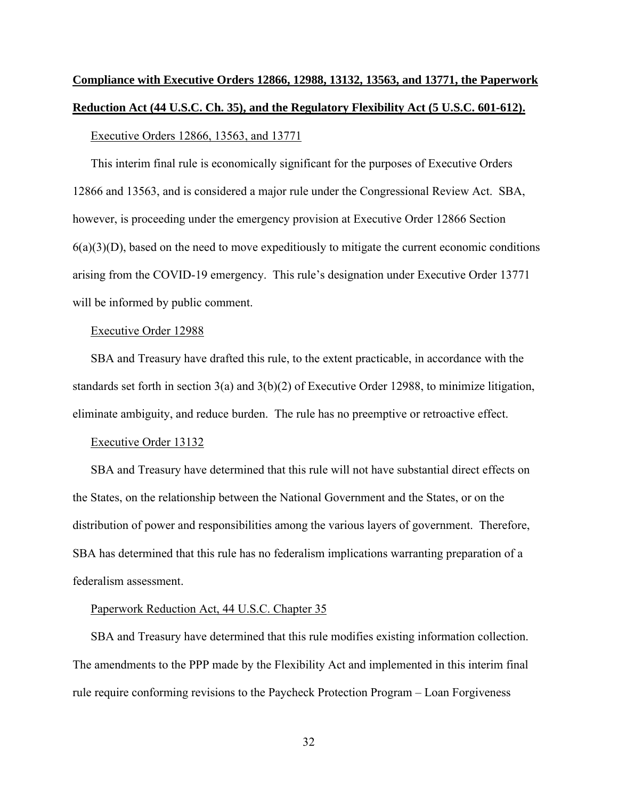# **Compliance with Executive Orders 12866, 12988, 13132, 13563, and 13771, the Paperwork Reduction Act (44 U.S.C. Ch. 35), and the Regulatory Flexibility Act (5 U.S.C. 601-612).**

#### Executive Orders 12866, 13563, and 13771

This interim final rule is economically significant for the purposes of Executive Orders 12866 and 13563, and is considered a major rule under the Congressional Review Act. SBA, however, is proceeding under the emergency provision at Executive Order 12866 Section  $6(a)(3)(D)$ , based on the need to move expeditiously to mitigate the current economic conditions arising from the COVID-19 emergency. This rule's designation under Executive Order 13771 will be informed by public comment.

#### Executive Order 12988

SBA and Treasury have drafted this rule, to the extent practicable, in accordance with the standards set forth in section 3(a) and 3(b)(2) of Executive Order 12988, to minimize litigation, eliminate ambiguity, and reduce burden. The rule has no preemptive or retroactive effect.

#### Executive Order 13132

SBA and Treasury have determined that this rule will not have substantial direct effects on the States, on the relationship between the National Government and the States, or on the distribution of power and responsibilities among the various layers of government. Therefore, SBA has determined that this rule has no federalism implications warranting preparation of a federalism assessment.

### Paperwork Reduction Act, 44 U.S.C. Chapter 35

SBA and Treasury have determined that this rule modifies existing information collection. The amendments to the PPP made by the Flexibility Act and implemented in this interim final rule require conforming revisions to the Paycheck Protection Program – Loan Forgiveness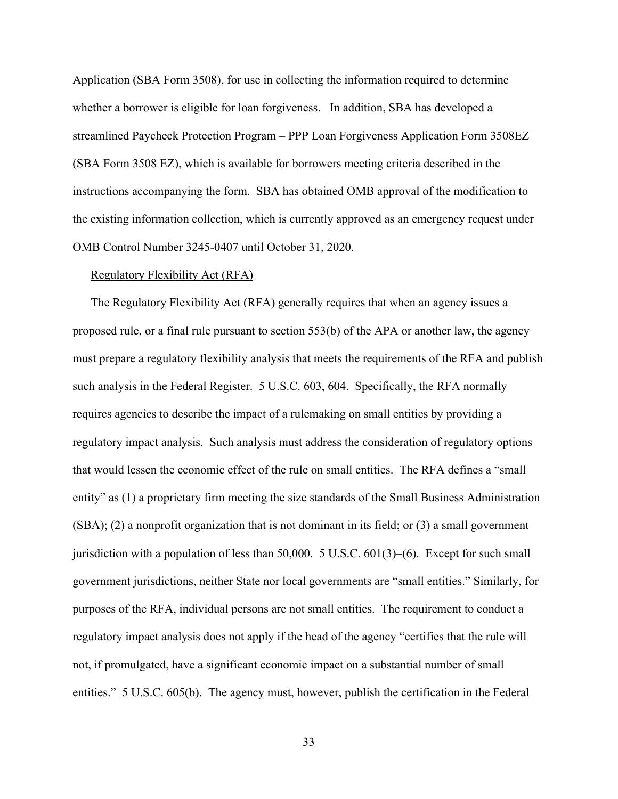Application (SBA Form 3508), for use in collecting the information required to determine whether a borrower is eligible for loan forgiveness. In addition, SBA has developed a streamlined Paycheck Protection Program – PPP Loan Forgiveness Application Form 3508EZ (SBA Form 3508 EZ), which is available for borrowers meeting criteria described in the instructions accompanying the form. SBA has obtained OMB approval of the modification to the existing information collection, which is currently approved as an emergency request under OMB Control Number 3245-0407 until October 31, 2020.

### Regulatory Flexibility Act (RFA)

The Regulatory Flexibility Act (RFA) generally requires that when an agency issues a proposed rule, or a final rule pursuant to section 553(b) of the APA or another law, the agency must prepare a regulatory flexibility analysis that meets the requirements of the RFA and publish such analysis in the Federal Register. 5 U.S.C. 603, 604. Specifically, the RFA normally requires agencies to describe the impact of a rulemaking on small entities by providing a regulatory impact analysis. Such analysis must address the consideration of regulatory options that would lessen the economic effect of the rule on small entities. The RFA defines a "small entity" as (1) a proprietary firm meeting the size standards of the Small Business Administration (SBA); (2) a nonprofit organization that is not dominant in its field; or (3) a small government jurisdiction with a population of less than 50,000. 5 U.S.C. 601(3)–(6). Except for such small government jurisdictions, neither State nor local governments are "small entities." Similarly, for purposes of the RFA, individual persons are not small entities. The requirement to conduct a regulatory impact analysis does not apply if the head of the agency "certifies that the rule will not, if promulgated, have a significant economic impact on a substantial number of small entities." 5 U.S.C. 605(b). The agency must, however, publish the certification in the Federal